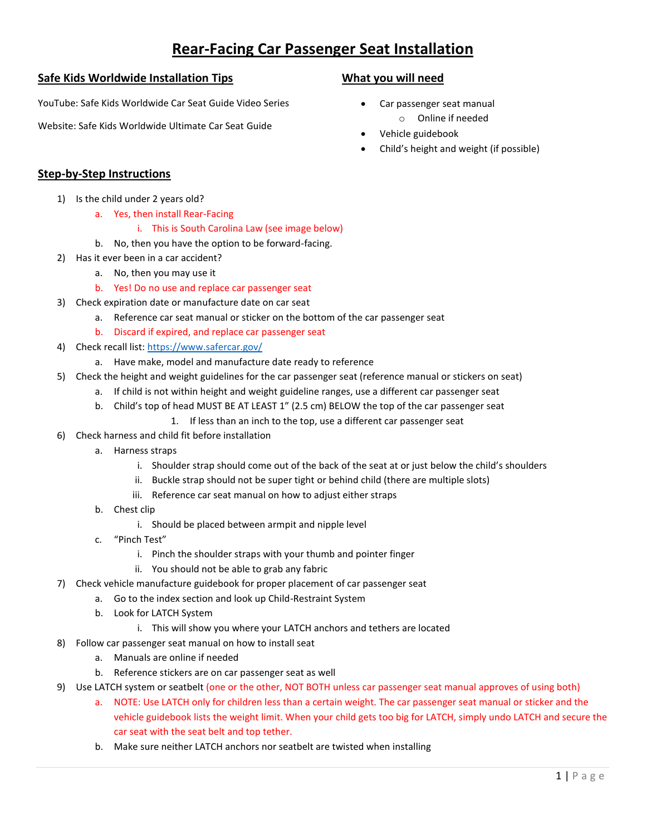## **Rear-Facing Car Passenger Seat Installation**

#### **Safe Kids Worldwide Installation Tips**

YouTube: Safe Kids Worldwide Car Seat Guide Video Series

Website: Safe Kids Worldwide Ultimate Car Seat Guide

#### **What you will need**

- Car passenger seat manual o Online if needed
- Vehicle guidebook
- Child's height and weight (if possible)

### **Step-by-Step Instructions**

- 1) Is the child under 2 years old?
	- a. Yes, then install Rear-Facing
		- i. This is South Carolina Law (see image below)
	- b. No, then you have the option to be forward-facing.
- 2) Has it ever been in a car accident?
	- a. No, then you may use it
	- b. Yes! Do no use and replace car passenger seat
- 3) Check expiration date or manufacture date on car seat
	- a. Reference car seat manual or sticker on the bottom of the car passenger seat
	- b. Discard if expired, and replace car passenger seat
- 4) Check recall list[: https://www.safercar.gov/](https://www.safercar.gov/)
	- a. Have make, model and manufacture date ready to reference
- 5) Check the height and weight guidelines for the car passenger seat (reference manual or stickers on seat)
	- a. If child is not within height and weight guideline ranges, use a different car passenger seat
	- b. Child's top of head MUST BE AT LEAST 1" (2.5 cm) BELOW the top of the car passenger seat
		- 1. If less than an inch to the top, use a different car passenger seat
- 6) Check harness and child fit before installation
	- a. Harness straps
		- i. Shoulder strap should come out of the back of the seat at or just below the child's shoulders
		- ii. Buckle strap should not be super tight or behind child (there are multiple slots)
		- iii. Reference car seat manual on how to adjust either straps
	- b. Chest clip
		- i. Should be placed between armpit and nipple level
	- c. "Pinch Test"
		- i. Pinch the shoulder straps with your thumb and pointer finger
		- ii. You should not be able to grab any fabric
- 7) Check vehicle manufacture guidebook for proper placement of car passenger seat
	- a. Go to the index section and look up Child-Restraint System
	- b. Look for LATCH System
		- i. This will show you where your LATCH anchors and tethers are located
- 8) Follow car passenger seat manual on how to install seat
	- a. Manuals are online if needed
	- b. Reference stickers are on car passenger seat as well
- 9) Use LATCH system or seatbelt (one or the other, NOT BOTH unless car passenger seat manual approves of using both)
	- a. NOTE: Use LATCH only for children less than a certain weight. The car passenger seat manual or sticker and the vehicle guidebook lists the weight limit. When your child gets too big for LATCH, simply undo LATCH and secure the car seat with the seat belt and top tether.
	- b. Make sure neither LATCH anchors nor seatbelt are twisted when installing